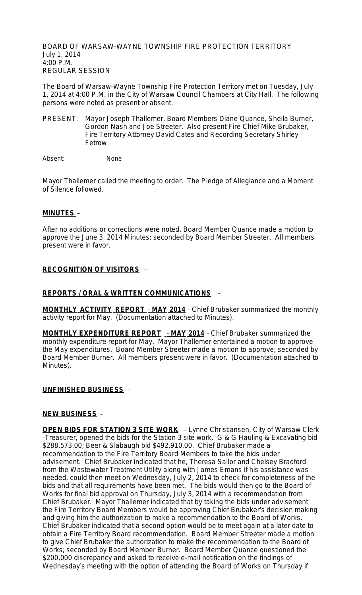BOARD OF WARSAW-WAYNE TOWNSHIP FIRE PROTECTION TERRITORY July 1, 2014 4:00 P.M. REGULAR SESSION

The Board of Warsaw-Wayne Township Fire Protection Territory met on Tuesday, July 1, 2014 at 4:00 P.M. in the City of Warsaw Council Chambers at City Hall. The following persons were noted as present or absent:

PRESENT: Mayor Joseph Thallemer, Board Members Diane Quance, Sheila Burner, Gordon Nash and Joe Streeter. Also present Fire Chief Mike Brubaker, Fire Territory Attorney David Cates and Recording Secretary Shirley Fetrow

Absent: None

Mayor Thallemer called the meeting to order. The Pledge of Allegiance and a Moment of Silence followed.

### **MINUTES** –

After no additions or corrections were noted, Board Member Quance made a motion to approve the June 3, 2014 Minutes; seconded by Board Member Streeter. All members present were in favor.

## **RECOGNITION OF VISITORS** –

#### **REPORTS / ORAL & WRITTEN COMMUNICATIONS** –

**MONTHLY ACTIVITY REPORT** – **MAY 2014** – Chief Brubaker summarized the monthly activity report for May. (Documentation attached to Minutes).

**MONTHLY EXPENDITURE REPORT** – **MAY 2014** – Chief Brubaker summarized the monthly expenditure report for May. Mayor Thallemer entertained a motion to approve the May expenditures. Board Member Streeter made a motion to approve; seconded by Board Member Burner. All members present were in favor. (Documentation attached to Minutes).

#### **UNFINISHED BUSINESS** –

#### **NEW BUSINESS** –

**OPEN BIDS FOR STATION 3 SITE WORK** - Lynne Christiansen, City of Warsaw Clerk -Treasurer, opened the bids for the Station 3 site work. G & G Hauling & Excavating bid \$288,573.00; Beer & Slabaugh bid \$492,910.00. Chief Brubaker made a recommendation to the Fire Territory Board Members to take the bids under advisement. Chief Brubaker indicated that he, Theresa Sailor and Chelsey Bradford from the Wastewater Treatment Utility along with James Emans if his assistance was needed, could then meet on Wednesday, July 2, 2014 to check for completeness of the bids and that all requirements have been met. The bids would then go to the Board of Works for final bid approval on Thursday, July 3, 2014 with a recommendation from Chief Brubaker. Mayor Thallemer indicated that by taking the bids under advisement the Fire Territory Board Members would be approving Chief Brubaker's decision making and giving him the authorization to make a recommendation to the Board of Works. Chief Brubaker indicated that a second option would be to meet again at a later date to obtain a Fire Territory Board recommendation. Board Member Streeter made a motion to give Chief Brubaker the authorization to make the recommendation to the Board of Works; seconded by Board Member Burner. Board Member Quance questioned the \$200,000 discrepancy and asked to receive e-mail notification on the findings of Wednesday's meeting with the option of attending the Board of Works on Thursday if